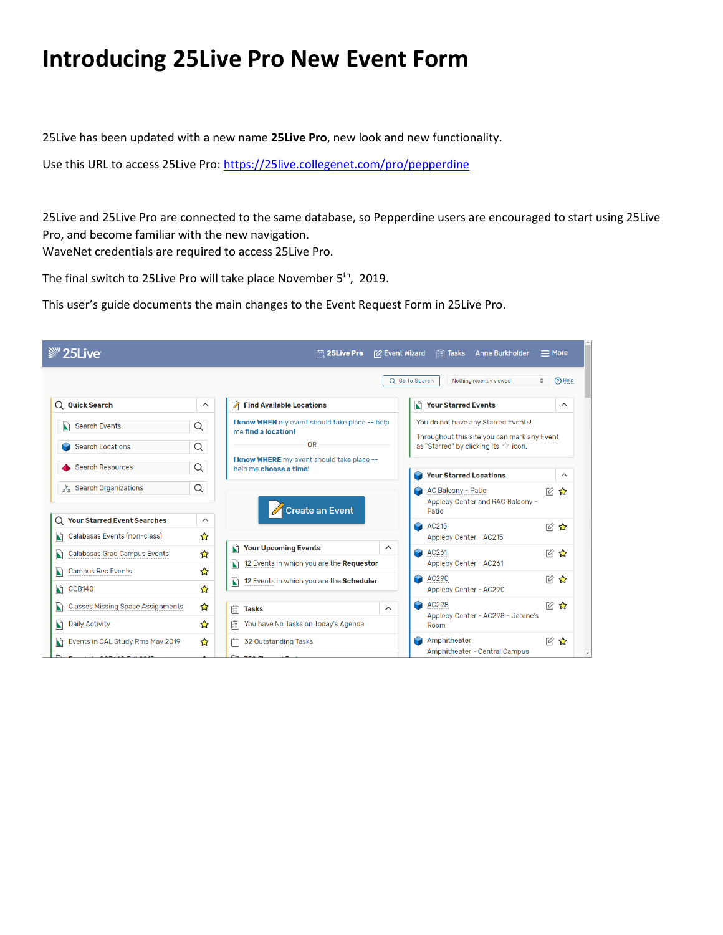## **Introducing 25Live Pro New Event Form**

25Live has been updated with a new name **25Live Pro**, new look and new functionality.

Use this URL to access 25Live Pro:<https://25live.collegenet.com/pro/pepperdine>

25Live and 25Live Pro are connected to the same database, so Pepperdine users are encouraged to start using 25Live Pro, and become familiar with the new navigation. WaveNet credentials are required to access 25Live Pro.

The final switch to 25Live Pro will take place November 5<sup>th</sup>, 2019.

This user's guide documents the main changes to the Event Request Form in 25Live Pro.

| <sup>■</sup> 25Live                           |                         | $\Box$ 25 Live Pro                                                    | [2] Event Wizard | <b>Anne Burkholder</b><br><b>開 Tasks</b>                                            | $=$ More   |          |
|-----------------------------------------------|-------------------------|-----------------------------------------------------------------------|------------------|-------------------------------------------------------------------------------------|------------|----------|
|                                               |                         |                                                                       | Q Go to Search   | Nothing recently viewed                                                             | $\div$     | (?) Help |
| $Q$ Quick Search                              | $\widehat{\phantom{1}}$ | <b>Find Available Locations</b>                                       | N                | <b>Your Starred Events</b>                                                          |            | $\wedge$ |
| $\mathbf{r}$<br><b>Search Events</b>          | Q                       | I know WHEN my event should take place -- help<br>me find a location! |                  | You do not have any Starred Events!                                                 |            |          |
| <b>Search Locations</b>                       | Q                       | <b>OR</b>                                                             |                  | Throughout this site you can mark any Event<br>as "Starred" by clicking its ☆ icon. |            |          |
| <b>Search Resources</b>                       | Q                       | I know WHERE my event should take place --<br>help me choose a time!  | œ                | <b>Your Starred Locations</b>                                                       |            | $\wedge$ |
| å<br><b>Search Organizations</b>              | Q                       | Create an Event                                                       |                  | <b>AC Balcony - Patio</b><br>Appleby Center and RAC Balcony -<br>Patio              | Г0,        | ✿        |
| <b>Your Starred Event Searches</b><br>Q       | $\wedge$                |                                                                       | Q                | AC215                                                                               | <b>■ ☆</b> |          |
| Calabasas Events (non-class)<br>Ŋ             | ☆                       | <b>Your Upcoming Events</b><br>N<br>$\wedge$                          |                  | Appleby Center - AC215                                                              |            |          |
| Calabasas Grad Campus Events<br>Ŋ             | ☆                       | 12 Events in which you are the Requestor                              | Q                | AC261<br>Appleby Center - AC261                                                     | 12 公       |          |
| <b>Campus Rec Events</b><br>N                 | ☆                       |                                                                       | R                | AC290                                                                               | 19. 公      |          |
| Ŋ<br><b>CCB140</b>                            | ✿                       | 12 Events in which you are the Scheduler<br>N                         |                  | Appleby Center - AC290                                                              |            |          |
| <b>Classes Missing Space Assignments</b><br>N | ✿                       | 阋<br><b>Tasks</b><br>$\wedge$                                         | <b>R</b>         | AC298<br>Appleby Center - AC298 - Jerene's                                          | ■ ☆        |          |
| N<br><b>Daily Activity</b>                    | ☆                       | 阋<br>You have No Tasks on Today's Agenda                              |                  | Room                                                                                |            |          |
| Events in CAL Study Rms May 2019<br>N         | ✿                       | 32 Outstanding Tasks                                                  |                  | Amphitheater<br>Amphitheater - Central Campus                                       | ■ ☆ ☆      |          |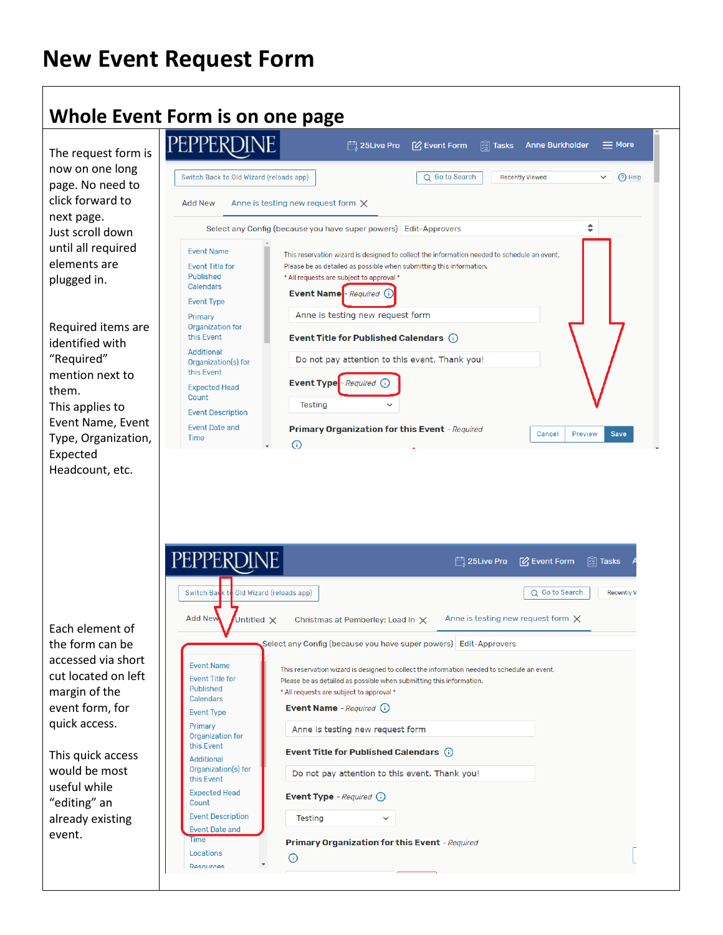# **New Event Request Form**

#### **Whole Event Form is on one page**

The request form is now on one long page. No need to click forward to next page. Just scroll down until all required elements are plugged in.

Required items are identified with "Required" mention next to them. This applies to Event Name, Event Type, Organization, Expected Headcount, etc.

| EPPERD                                                                                                                                         | $\begin{array}{cc} \begin{matrix} 1 \\ 2 \end{matrix} \end{array}$ 25 Live Pro<br><b>P</b> Event Form<br><b>Anne Burkholder</b><br>$\equiv$ More<br>陶<br><b>Tasks</b>                                                                                                                                                         |
|------------------------------------------------------------------------------------------------------------------------------------------------|-------------------------------------------------------------------------------------------------------------------------------------------------------------------------------------------------------------------------------------------------------------------------------------------------------------------------------|
| Switch Back to Old Wizard (reloads app)                                                                                                        | Q Go to Search<br><b>Recently Viewed</b><br>$(2)$ Help<br>$\checkmark$                                                                                                                                                                                                                                                        |
| <b>Add New</b>                                                                                                                                 | Anne is testing new request form $\times$                                                                                                                                                                                                                                                                                     |
|                                                                                                                                                | ▲<br>Select any Config (because you have super powers) Edit-Approvers                                                                                                                                                                                                                                                         |
| <b>Fvent Name</b><br><b>Event Title for</b><br>Published<br><b>Calendars</b><br><b>Event Type</b><br>Primary<br>Organization for<br>this Event | This reservation wizard is designed to collect the information needed to schedule an event.<br>Please be as detailed as possible when submitting this information.<br>* All requests are subject to approval *<br><b>Event Name</b> - Required<br>Anne is testing new request form<br>Event Title for Published Calendars (i) |
| Additional<br>Organization(s) for<br>this Event                                                                                                | Do not pay attention to this event. Thank you!                                                                                                                                                                                                                                                                                |
| <b>Expected Head</b><br>Count<br><b>Event Description</b>                                                                                      | Event Type <sup>-</sup> Required (i)<br><b>Testing</b><br>$\checkmark$                                                                                                                                                                                                                                                        |
| <b>Event Date and</b><br>Time                                                                                                                  | <b>Primary Organization for this Event</b> - Required<br>Save<br>Preview<br>Cancel                                                                                                                                                                                                                                            |

| Switch Back to Old Wizard (reloads app)                                                           | Q Go to Search                                                                                                                                                                                                                              |
|---------------------------------------------------------------------------------------------------|---------------------------------------------------------------------------------------------------------------------------------------------------------------------------------------------------------------------------------------------|
| <b>Add New</b><br>Untitled X                                                                      | Anne is testing new request form X<br>Christmas at Pemberley: Load In X                                                                                                                                                                     |
|                                                                                                   | Select any Config (because you have super powers) Edit-Approvers                                                                                                                                                                            |
| <b>Event Name</b><br><b>Event Title for</b><br>Published<br><b>Calendars</b><br><b>Event Type</b> | This reservation wizard is designed to collect the information needed to schedule an event.<br>Please be as detailed as possible when submitting this information.<br>* All requests are subject to approval *<br>Event Name - Required (i) |
| Primary<br>Organization for<br>this Event                                                         | Anne is testing new request form                                                                                                                                                                                                            |
| Additional<br>Organization(s) for<br>this Event                                                   | Event Title for Published Calendars (i)<br>Do not pay attention to this event. Thank you!                                                                                                                                                   |
| <b>Expected Head</b><br>Count                                                                     | <b>Event Type</b> - Required $(i)$                                                                                                                                                                                                          |
| <b>Event Description</b><br><b>Event Date and</b>                                                 | <b>Testing</b><br>$\checkmark$                                                                                                                                                                                                              |
| Time                                                                                              | <b>Primary Organization for this Event</b> - Required                                                                                                                                                                                       |

Each element of the form can be accessed via short cut located on let margin of the event form, for quick access.

This quick access would be most useful while "editing" an already existing event.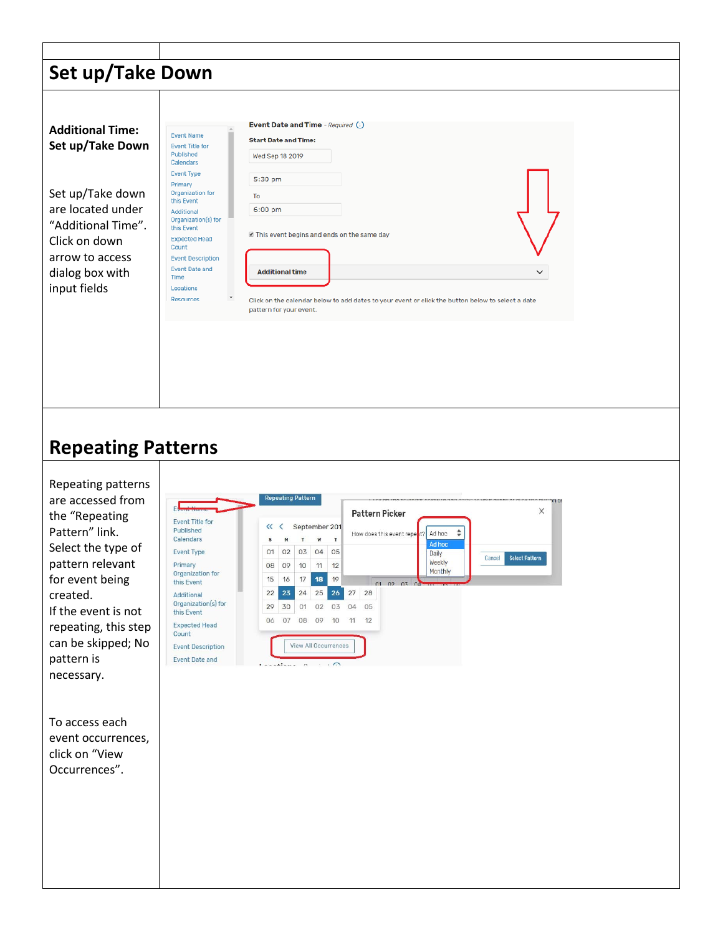|                                                                                                                                                                                                                                                                      | Set up/Take Down                                                                                                                                                                                                                                                                                            |                                                                                                                                                                                                                                                                                                                                                                                                                                                                                                                     |
|----------------------------------------------------------------------------------------------------------------------------------------------------------------------------------------------------------------------------------------------------------------------|-------------------------------------------------------------------------------------------------------------------------------------------------------------------------------------------------------------------------------------------------------------------------------------------------------------|---------------------------------------------------------------------------------------------------------------------------------------------------------------------------------------------------------------------------------------------------------------------------------------------------------------------------------------------------------------------------------------------------------------------------------------------------------------------------------------------------------------------|
| <b>Additional Time:</b><br>Set up/Take Down<br>Set up/Take down<br>are located under<br>"Additional Time".<br>Click on down<br>arrow to access<br>dialog box with<br>input fields                                                                                    | <b>Event Name</b><br><b>Event Title for</b><br>Published<br>Calendars<br><b>Event Type</b><br>Primary<br>Organization for<br>this Event<br>Additional<br>Organization(s) for<br>this Event<br><b>Expected Head</b><br>Count<br><b>Event Description</b><br>Event Date and<br>Time<br>Locations<br>Resources | Event Date and Time - Required (i)<br><b>Start Date and Time:</b><br>Wed Sep 18 2019<br>5:30 pm<br>To<br>6:00 pm<br>In This event begins and ends on the same day<br><b>Additional time</b><br>$\check{ }$<br>Click on the calendar below to add dates to your event or click the button below to select a date<br>pattern for your event.                                                                                                                                                                          |
| <b>Repeating Patterns</b><br>Repeating patterns<br>are accessed from<br>the "Repeating<br>Pattern" link.<br>Select the type of<br>pattern relevant<br>for event being<br>created.<br>If the event is not<br>repeating, this step<br>can be skipped; No<br>pattern is | <b>Event Title for</b><br>Published<br>Calendars<br><b>Event Type</b><br>Primary<br>Organization for<br>this Event<br>Additional<br>Organization(s) for<br>this Event<br><b>Expected Head</b><br>Count<br><b>Event Description</b><br><b>Event Date and</b>                                                 | <b>Repeating Pattern</b><br>$\mathsf{D}$<br>X<br>Pattern Picker<br>September 201<br>$\ll$ $\leq$<br>Ad hoc<br>÷<br>How does this event repert?<br>T<br>T<br>W<br>S<br>м<br>Ad hoc<br>02 03 04<br>01<br>05<br>Daily<br><b>Select Pattern</b><br>Cancel<br>Weekly<br>08<br>09<br>10<br>11<br>12<br>Monthly<br>15<br>18<br>19<br>16<br>17<br>01 02 03<br>24 25 26<br>27 28<br>22<br>23<br>04 05<br>29<br>30<br>01 02<br>03<br>06 07 08 09 10<br>11 12<br>View All Occurrences<br>$\cdot \cdot \wedge$<br>$\frac{1}{2}$ |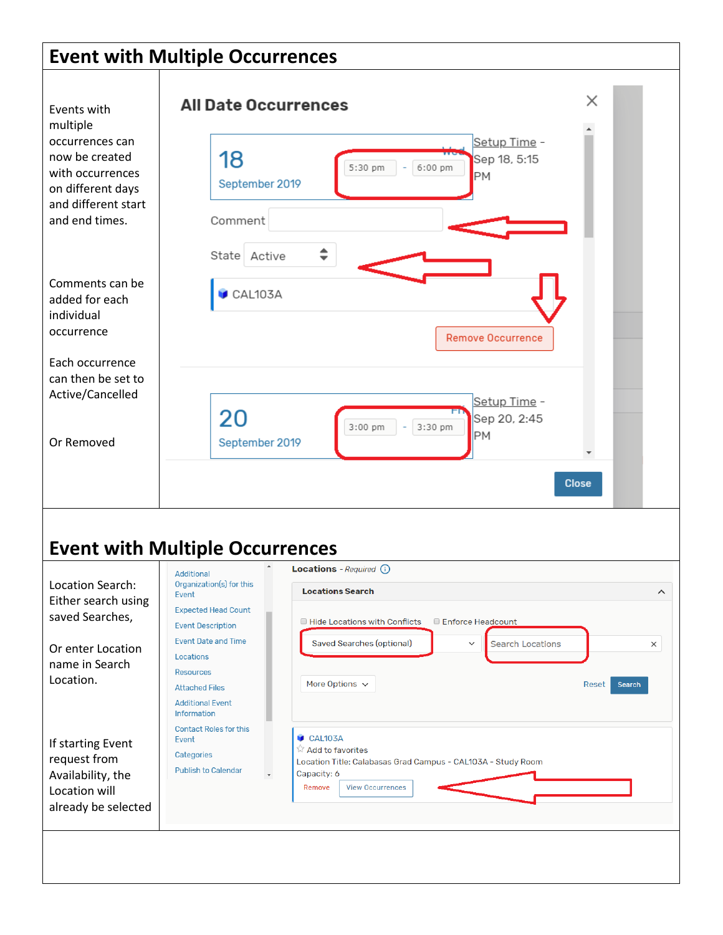### **Event with Multiple Occurrences**

| Events with<br>multiple<br>occurrences can<br>now be created<br>with occurrences<br>on different days<br>and different start<br>and end times. | <b>All Date Occurrences</b><br>Setup Time -<br>18<br>Sep 18, 5:15<br>5:30 pm<br>6:00 pm<br>PM<br>September 2019<br>Comment                                                                                                                                                                                                                                                                                                                                            | ×                                |
|------------------------------------------------------------------------------------------------------------------------------------------------|-----------------------------------------------------------------------------------------------------------------------------------------------------------------------------------------------------------------------------------------------------------------------------------------------------------------------------------------------------------------------------------------------------------------------------------------------------------------------|----------------------------------|
| Comments can be<br>added for each<br>individual<br>occurrence<br>Each occurrence<br>can then be set to<br>Active/Cancelled<br>Or Removed       | ≑<br>State Active<br>CAL103A<br><b>Remove Occurrence</b><br>Setup Time -<br>20<br>Sep 20, 2:45<br>3:30 pm<br>$3:00$ pm<br>PM<br>September 2019                                                                                                                                                                                                                                                                                                                        |                                  |
|                                                                                                                                                | <b>Event with Multiple Occurrences</b>                                                                                                                                                                                                                                                                                                                                                                                                                                | <b>Close</b>                     |
| Location Search:<br>Either search using<br>saved Searches,<br>Or enter Location<br>name in Search<br>Location.                                 | Locations - Required (i)<br>Additional<br>Organization(s) for this<br><b>Locations Search</b><br>Event<br><b>Expected Head Count</b><br>Hide Locations with Conflicts<br>Enforce Headcount<br><b>Event Description</b><br><b>Event Date and Time</b><br><b>Saved Searches (optional)</b><br><b>Search Locations</b><br>$\checkmark$<br>Locations<br><b>Resources</b><br>More Options $\sim$<br><b>Attached Files</b><br><b>Additional Event</b><br><b>Information</b> | ∧<br>$\times$<br>Search<br>Reset |
| If starting Event<br>request from<br>Availability, the<br>Location will<br>already be selected                                                 | <b>Contact Roles for this</b><br>CAL103A<br>Event<br><b>M</b> Add to favorites<br>Categories<br>Location Title: Calabasas Grad Campus - CAL103A - Study Room<br><b>Publish to Calendar</b><br>Capacity: 6<br>$\overline{\phantom{a}}$<br>Remove<br><b>View Occurrences</b>                                                                                                                                                                                            |                                  |